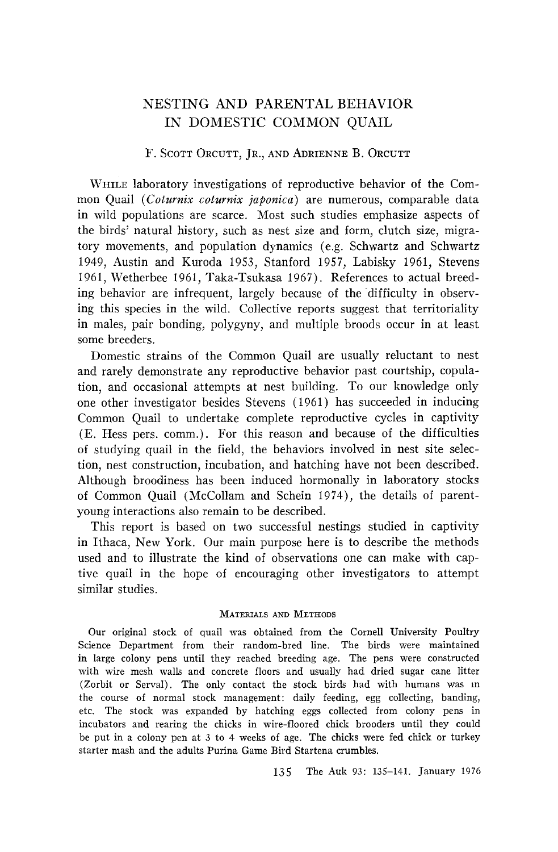# **NESTING AND PARENTAL BEHAVIOR IN DOMESTIC COMMON QUAIL**

# **17. SCOTT ORCUTT, JR., AND ADRIENNE B. ORCUTT**

**WHILE laboratory investigations of reproductive behavior of the Common Quail (Coturnix coturnix japonica) are numerous, comparable data in wild populations are scarce. Most such studies emphasize aspects of the birds' natural history, such as nest size and form, clutch size, migratory movements, and population dynamics (e.g. Schwartz and Schwartz 1949, Austin and Kuroda 1953, Stanford 1957, Labisky 1961, Stevens 1961, Wetherbee 1961, Taka-Tsukasa 1967). References to actual breed**ing behavior are infrequent, largely because of the difficulty in observ**ing this species in the wild. Collective reports suggest that territoriality in males, pair bonding, polygyny, and multiple broods occur in at least some breeders.** 

**Domestic strains of the Common Quail are usually reluctant to nest and rarely demonstrate any reproductive behavior past courtship, copulation, and occasional attempts at nest building. To our knowledge only one other investigator besides Stevens (1961) has succeeded in inducing Common Quail to undertake complete reproductive cycles in captivity (E. Hess pers. comm.). For this reason and because of the difficulties of studying quail in the field, the behaviors involved in nest site selection, nest construction, incubation, and hatching have not been described. Although broodiness has been induced hormonally in laboratory stocks of Common Quail (McCollam and Schein 1974), the details of parentyoung interactions also remain to be described.** 

This report is based on two successful nestings studied in captivity **in Ithaca, New York. Our main purpose here is to describe the methods used and to illustrate the kind of observations one can make with captive quail in the hope of encouraging other investigators to attempt similar studies.** 

#### **MATERIALS AND METHODS**

**Our original stock of quail was obtained from the Cornell University Poultry Science Department from their random-bred line. The birds were maintained in large colony pens until they reached breeding age. The pens were constructed with wire mesh walls and concrete floors and usually had dried sugar cane litter (Zorbit or Serval). The only contact the stock birds had with humans was •n the course of normal stock management: daily feeding, egg collecting, banding, etc. The stock was expanded by hatching eggs collected from colony pens in incubators and rearing the chicks in wire-floored chick brooders until they could be put in a colony pen at 3 to 4 weeks of age. The chicks were fed chick or turkey starter mash and the adults Purina Game Bird Startena crumbles.** 

**135 The Auk 93: 135-141. January 1976**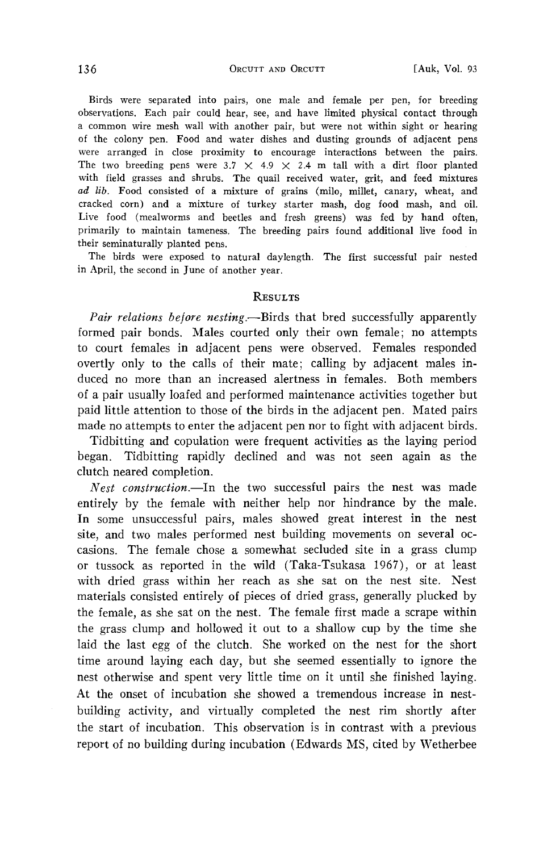**136 CRCUTT AND ORCUTT CONSUMITY EXECUTE EXECUTE EXECUTE EXECUTE EXECUTE** 

**Birds were separated into pairs, one male and female per pen, for breeding observations. Each pair could hear, see, and have limited physical contact through a common wire mesh wall with another pair, but were not within sight or hearing of the colony pen. Food and water dishes and dusting grounds of adjacent pens were arranged in close proximity to encourage interactions between the pairs.**  The two breeding pens were  $3.7 \times 4.9 \times 2.4$  m tall with a dirt floor planted **with field grasses and shrubs. The quail received water, grit, and feed mixtures ad lib. Food consisted of a mixture of grains (milo, millet, canary, wheat, and cracked corn) and a mixture of turkey starter mash, dog food mash, and oil. Live food (mealworms and beetles and fresh greens) was fed by hand often, primarily to maintain tameness. The breeding pairs found additional live food in their seminaturally planted pens.** 

**The birds were exposed to natural daylength. The first successful pair nested in April, the second in June of another year.** 

### **RESULTS**

Pair relations before nesting.—Birds that bred successfully apparently **formed pair bonds. Males courted only their own female; no attempts to court females in adjacent pens were observed. Females responded overtly only to the calls of their mate; calling by adjacent males induced no more than an increased alertness in females. Both members of a pair usually 1oafed and performed maintenance activities together but paid little attention to those of the birds in the adjacent pen. Mated pairs made no attempts to enter the adjacent pen nor to fight with adjacent birds.** 

**Tidbitting and copulation were frequent activities as the laying period began. Tidbitting rapidly declined and was not seen again as the clutch neared completion.** 

Nest construction.—In the two successful pairs the nest was made **entirely by the female with neither help nor hindrance by the male. In some unsuccessful pairs, males showed great interest in the nest site, and two males performed nest building movements on several occasions. The female chose a somewhat secluded site in a grass dump or tussock as reported in the wild (Taka-Tsukasa 1967), or at least with dried grass within her reach as she sat on the nest site. Nest materials consisted entirely of pieces of dried grass, generally plucked by the female, as she sat on the nest. The female first made a scrape within the grass dump and hollowed it out to a shallow cup by the time she laid the last egg of the clutch. She worked on the nest for the short time around laying each day, but she seemed essentially to ignore the nest otherwise and spent very little time on it until she finished laying. At the onset of incubation she showed a tremendous increase in nestbuilding activity, and virtually completed the nest rim shortly after the start of incubation. This observation is in contrast with a previous report of no building during incubation (Edwards MS, cited by Wetherbee**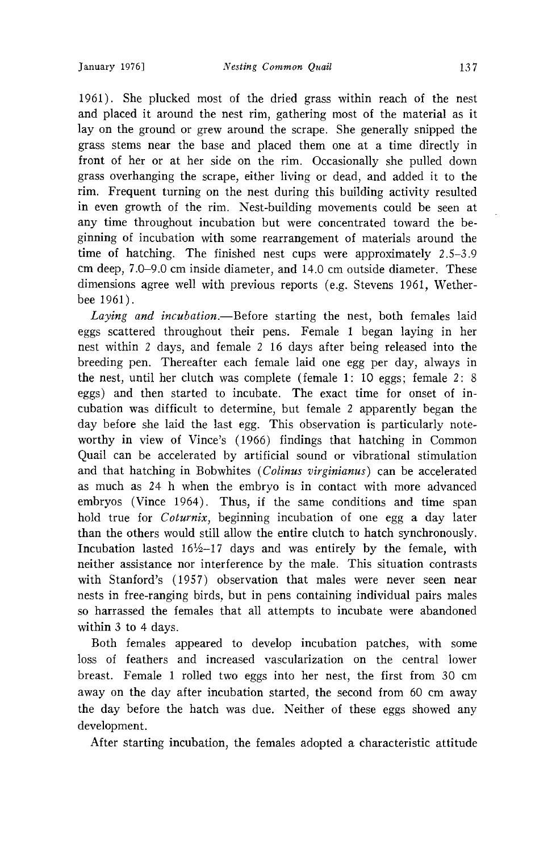**1961). She plucked most of the dried grass within reach of the nest and placed it around the nest rim, gathering most of the material as it lay on the ground or grew around the scrape. She generally snipped the grass stems near the base and placed them one at a time directly in front of her or at her side on the rim. Occasionally she pulled down grass overhanging the scrape, either living or dead, and added it to the rim. Frequent turning on the nest during this building activity resulted in even growth of the rim. Nest-building movements could be seen at any time throughout incubation but were concentrated toward the beginning of incubation with some rearrangement of materials around the time of hatching. The finished nest cups were approximately 2.5-3.9 cm deep, 7.0-9.0 cm inside diameter, and 14.0 cm outside diameter. These dimensions agree well with previous reports (e.g. Stevens 1961, Wetherbee 1961).** 

Laying and incubation.—Before starting the nest, both females laid **eggs scattered throughout their pens. Female 1 began laying in her nest within 2 days, and female 2 16 days after being released into the breeding pen. Thereafter each female laid one egg per day, always in the nest, until her clutch was complete (female 1:10 eggs; female 2:8 eggs) and then started to incubate. The exact time for onset of incubation was difficult to determine, but female 2 apparently began the day before she laid the last egg. This observation is particularly noteworthy in view of Vince's (1966) findings that hatching in Common Quail can be accelerated by artificial sound or vibrational stimulation and that hatching in Bobwhites (Colinus virginianus) can be accelerated as much as 24 h when the embryo is in contact with more advanced embryos (Vince 1964). Thus, if the same conditions and time span hold true for Coturnix, beginning incubation of one egg a day later than the others would still allow the entire clutch to hatch synchronously.**  Incubation lasted  $16\frac{1}{2}$ -17 days and was entirely by the female, with **neither assistance nor interference by the male. This situation contrasts with Stanford's (1957) observation that males were never seen near nests in free-ranging birds, but in pens containing individual pairs males so harrassed the females that all attempts to incubate were abandoned within 3 to 4 days.** 

**Both females appeared to develop incubation patches, with some loss of feathers and increased vascularization on the central lower breast. Female 1 rolled two eggs into her nest, the first from 30 cm away on the day after incubation started, the second from 60 cm away the day before the hatch was due. Neither of these eggs showed any development.** 

**After starting incubation, the females adopted a characteristic attitude**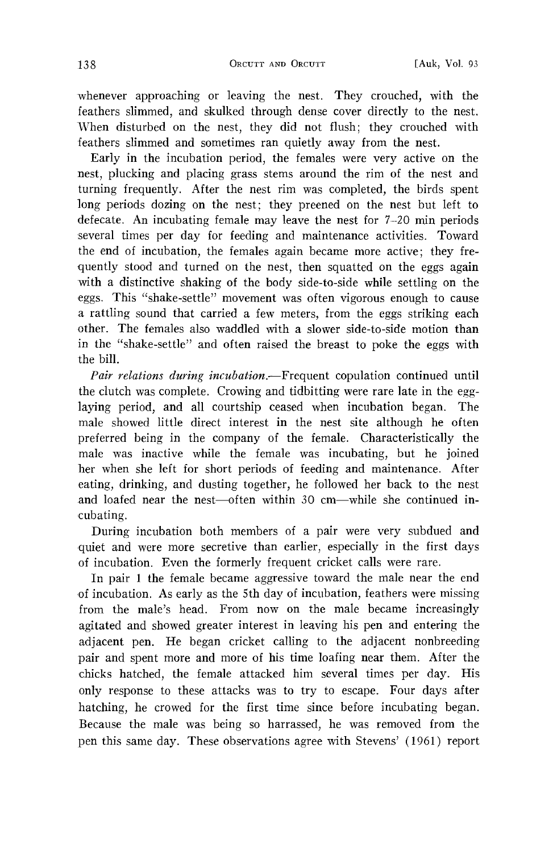**whenever approaching or leaving the nest. They crouched, with the feathers slimmed, and skulked through dense cover directly to the nest. When disturbed on the nest, they did not flush; they crouched with feathers slimmed and sometimes ran quietly away from the nest.** 

**Early in the incubation period, the females were very active on the nest, plucking and placing grass stems around the rim of the nest and turning frequently. After the nest rim was completed, the birds spent long periods dozing on the nest; they preened on the nest but left to defecate. An incubating female may leave the nest for 7-20 min periods several times per day for feeding and maintenance activities. Toward the end of incubation, the females again became more active; they frequently stood and turned on the nest, then squatted on the eggs again with a distinctive shaking of the body side-to-side while settling on the eggs. This "shake-settle" movement was often vigorous enough to cause a rattling sound that carried a few meters, from the eggs striking each other. The females also waddled with a slower side-to-side motion than in the "shake-settle" and often raised the breast to poke the eggs with the bill.** 

Pair relations during incubation.—Frequent copulation continued until **the clutch was complete. Crowing and tidbitting were rare late in the egglaying period, and all courtship ceased when incubation began. The male showed little direct interest in the nest site although he often preferred being in the company of the female. Characteristically the male was inactive while the female was incubating, but he joined her when she left for short periods of feeding and maintenance. After eating, drinking, and dusting together, he followed her back to the nest**  and loafed near the nest-often within 30 cm--while she continued in**cubating.** 

**During incubation both members of a pair were very subdued and quiet and were more secretive than earlier, especially in the first days of incubation. Even the formerly frequent cricket calls were rare.** 

**In pair 1 the female became aggressive toward the male near the end .of incubation. As early as the 5th day of incubation, feathers were missing from the male's head. From now on the male became increasingly agitated and showed greater interest in leaving his pen and entering the adjacent pen. He began cricket calling to the adjacent nonbreeding pair and spent more and more of his time loafing near them. After the chicks hatched, the female attacked him several times per day. His only response to these attacks was to try to escape. Four days after hatching, he crowed for the first time since before incubating began. Because the male was being so harrassed, he was removed from the pen this same day. These observations agree with Stevens' (1961) report**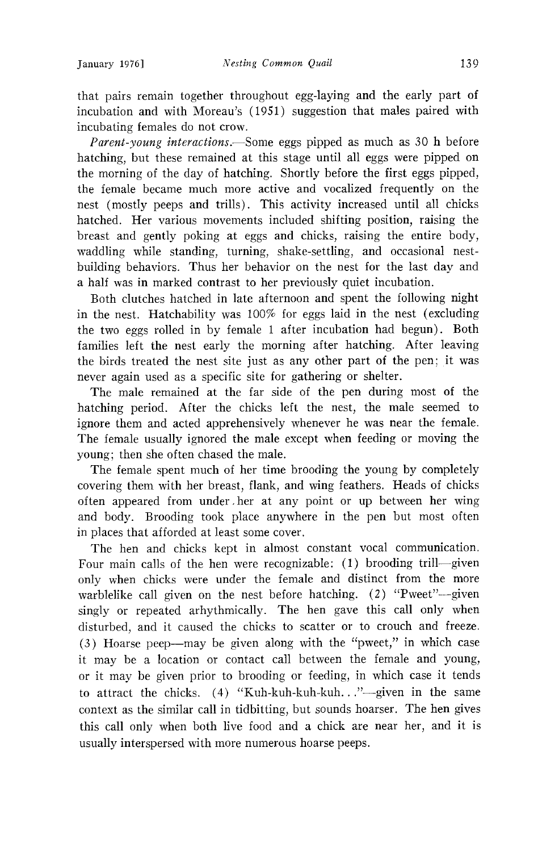**that pairs remain together throughout egg-laying and the early part of incubation and with Moreau's (1951) suggestion that males paired with incubating females do not crow.** 

Parent-young interactions.-Some eggs pipped as much as 30 h before **hatching, but these remained at this stage until all eggs were pipped on the morning of the day of hatching. Shortly before the first eggs pipped, the female became much more active and vocalized frequently on the nest (mostly peeps and trills). This activity increased until all chicks hatched. Her various movements included shifting position, raising the breast and gently poking at eggs and chicks, raising the entire body, waddling while standing, turning, shake-settling, and occasional nestbuilding behaviors. Thus her behavior on the nest for the last day and a half was in marked contrast to her previously quiet incubation.** 

**Both clutches hatched in late afternoon and spent the following night in the nest. Hatchability was 100% for eggs laid in the nest (excluding the two eggs rolled in by female 1 after incubation had begun). Both families left the nest early the morning after hatching. After leaving the birds treated the nest site just as any other part of the pen; it was never again used as a specific site for gathering or shelter.** 

**The male remained at the far side of the pen during most of the hatching period. After the chicks left the nest, the male seemed to ignore them and acted apprehensively whenever he was near the female. The female usually ignored the male except when feeding or moving the young; then she often chased the male.** 

**The female spent much of her time brooding the young by completely covering them with her breast, flank, and wing feathers. Heads of chicks often appeared from under ,her at any point or up between her wing and body. Brooding took place anywhere in the pen but most often in places that afforded at least some cover.** 

**The hen and chicks kept in almost constant vocal communication.**  Four main calls of the hen were recognizable: (1) brooding trill--given **only when chicks were under the female and distinct from the more**  warblelike call given on the nest before hatching. (2) "Pweet"---given **singly or repeated arhythmically. The hen gave this call only when disturbed, and it caused the chicks to scatter or to crouch and freeze. (3) Hoarse peep--may be given along with the "pweet," in which case it may be a location or contact call between the female and young, or it may be given prior to brooding or feeding, in which case it tends to attract the chicks. (4) "Kuh-kuh-kuh-kuh..."--given in the same context as the similar call in tidbitting, but sounds hoarser. The hen gives this call only when both live food and a chick are near her, and it is usually interspersed with more numerous hoarse peeps.**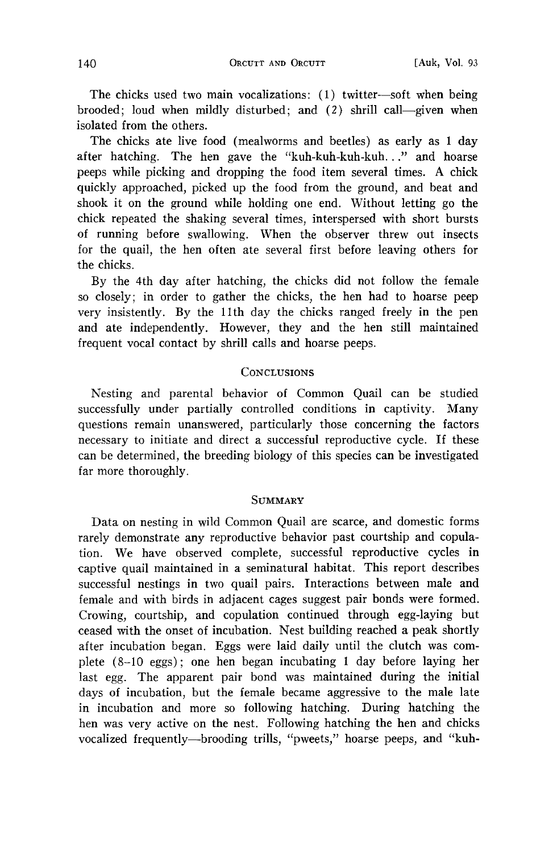**The chicks used two main vocalizations: (1) twitter--soft when being brooded; loud when mildly disturbed; and (2) shrill call--given when isolated from the others.** 

**The chicks ate live food (mealworms and beetles) as early as 1 day after hatching. The hen gave the "kuh-kuh-kuh-kuh..." and hoarse peeps while picking and dropping the food item several times. A chick quickly approached, picked up the food from the ground, and beat and shook it on the ground while holding one end. Without letting go the chick repeated the shaking several times, interspersed with short bursts of running before swallowing. When the observer threw out insects for the quail, the hen often ate several first before leaving others for the chicks.** 

**By the 4th day after hatching, the chicks did not follow the female so closely; in order to gather the chicks, the hen had to hoarse peep very insistently. By the 11th day the chicks ranged freely in the pen and ate independently. However, they and the hen still maintained frequent vocal contact by shrill calls and hoarse peeps.** 

#### **CONCLUSIONS**

**Nesting and parental behavior of Common Quail can be studied successfully under partially controlled conditions in captivity. Many questions remain unanswered, particularly those concerning the factors necessary to initiate and direct a successful reproductive cycle. If these can be determined, the breeding biology of this species can be investigated far more thoroughly.** 

#### **SUMMARY**

**Data on nesting in wild Common Quail are scarce, and domestic forms rarely demonstrate any reproductive behavior past courtship and copulation. We have observed complete, successful reproductive cycles in captive quail maintained in a seminatural habitat. This report describes successful nestings in two quail pairs. Interactions between male and female and with birds in adjacent cages suggest pair bonds were formed. Crowing, courtship, and copulation continued through egg-laying but ceased with the onset of incubation. Nest building reached a peak shortly after incubation began. Eggs were laid daily until the dutch was complete (8-10 eggs); one hen began incubating 1 day before laying her last egg. The apparent pair bond was maintained during the initial days of incubation, but the female became aggressive to the male late in incubation and more so following hatching. During hatching the hen was very active on the nest. Following hatching the hen and chicks vocalized frequently--brooding trills, "pweets," hoarse peeps, and "kuh-**